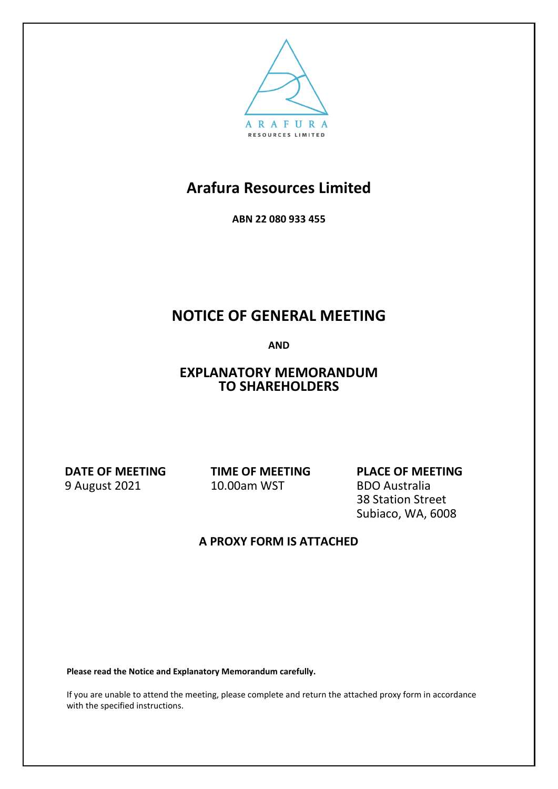

**ABN 22 080 933 455**

# **NOTICE OF GENERAL MEETING**

**AND**

## **EXPLANATORY MEMORANDUM TO SHAREHOLDERS**

**DATE OF MEETING** 9 August 2021

**TIME OF MEETING** 10.00am WST

**PLACE OF MEETING** BDO Australia 38 Station Street Subiaco, WA, 6008

## **A PROXY FORM IS ATTACHED**

**Please read the Notice and Explanatory Memorandum carefully.**

If you are unable to attend the meeting, please complete and return the attached proxy form in accordance with the specified instructions.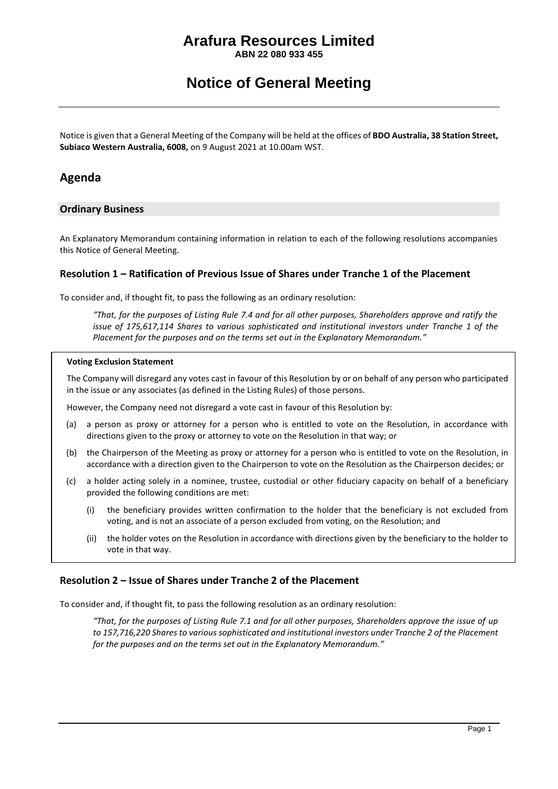**ABN 22 080 933 455**

## **Notice of General Meeting**

Notice is given that a General Meeting of the Company will be held at the offices of **BDO Australia, 38 Station Street, Subiaco Western Australia, 6008,** on 9 August 2021 at 10.00am WST.

### **Agenda**

### **Ordinary Business**

An Explanatory Memorandum containing information in relation to each of the following resolutions accompanies this Notice of General Meeting.

### **Resolution 1 – Ratification of Previous Issue of Shares under Tranche 1 of the Placement**

To consider and, if thought fit, to pass the following as an ordinary resolution:

*"That, for the purposes of Listing Rule 7.4 and for all other purposes, Shareholders approve and ratify the issue of 175,617,114 Shares to various sophisticated and institutional investors under Tranche 1 of the Placement for the purposes and on the terms set out in the Explanatory Memorandum."*

#### **Voting Exclusion Statement**

The Company will disregard any votes cast in favour of this Resolution by or on behalf of any person who participated in the issue or any associates (as defined in the Listing Rules) of those persons.

However, the Company need not disregard a vote cast in favour of this Resolution by:

- (a) a person as proxy or attorney for a person who is entitled to vote on the Resolution, in accordance with directions given to the proxy or attorney to vote on the Resolution in that way; or
- (b) the Chairperson of the Meeting as proxy or attorney for a person who is entitled to vote on the Resolution, in accordance with a direction given to the Chairperson to vote on the Resolution as the Chairperson decides; or
- (c) a holder acting solely in a nominee, trustee, custodial or other fiduciary capacity on behalf of a beneficiary provided the following conditions are met:
	- (i) the beneficiary provides written confirmation to the holder that the beneficiary is not excluded from voting, and is not an associate of a person excluded from voting, on the Resolution; and
	- (ii) the holder votes on the Resolution in accordance with directions given by the beneficiary to the holder to vote in that way.

### **Resolution 2 – Issue of Shares under Tranche 2 of the Placement**

To consider and, if thought fit, to pass the following resolution as an ordinary resolution:

*"That, for the purposes of Listing Rule 7.1 and for all other purposes, Shareholders approve the issue of up to 157,716,220 Shares to various sophisticated and institutional investors under Tranche 2 of the Placement for the purposes and on the terms set out in the Explanatory Memorandum."*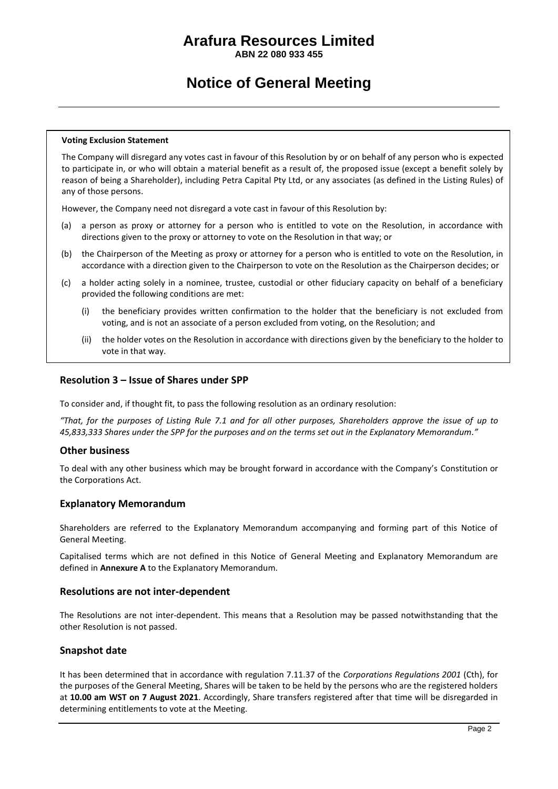**ABN 22 080 933 455**

## **Notice of General Meeting**

#### **Voting Exclusion Statement**

The Company will disregard any votes cast in favour of this Resolution by or on behalf of any person who is expected to participate in, or who will obtain a material benefit as a result of, the proposed issue (except a benefit solely by reason of being a Shareholder), including Petra Capital Pty Ltd, or any associates (as defined in the Listing Rules) of any of those persons.

However, the Company need not disregard a vote cast in favour of this Resolution by:

- (a) a person as proxy or attorney for a person who is entitled to vote on the Resolution, in accordance with directions given to the proxy or attorney to vote on the Resolution in that way; or
- (b) the Chairperson of the Meeting as proxy or attorney for a person who is entitled to vote on the Resolution, in accordance with a direction given to the Chairperson to vote on the Resolution as the Chairperson decides; or
- (c) a holder acting solely in a nominee, trustee, custodial or other fiduciary capacity on behalf of a beneficiary provided the following conditions are met:
	- (i) the beneficiary provides written confirmation to the holder that the beneficiary is not excluded from voting, and is not an associate of a person excluded from voting, on the Resolution; and
	- (ii) the holder votes on the Resolution in accordance with directions given by the beneficiary to the holder to vote in that way.

#### **Resolution 3 – Issue of Shares under SPP**

To consider and, if thought fit, to pass the following resolution as an ordinary resolution:

*"That, for the purposes of Listing Rule 7.1 and for all other purposes, Shareholders approve the issue of up to 45,833,333 Shares under the SPP for the purposes and on the terms set out in the Explanatory Memorandum."*

#### **Other business**

To deal with any other business which may be brought forward in accordance with the Company's Constitution or the Corporations Act.

### **Explanatory Memorandum**

Shareholders are referred to the Explanatory Memorandum accompanying and forming part of this Notice of General Meeting.

Capitalised terms which are not defined in this Notice of General Meeting and Explanatory Memorandum are defined in **Annexure A** to the Explanatory Memorandum.

#### **Resolutions are not inter-dependent**

The Resolutions are not inter-dependent. This means that a Resolution may be passed notwithstanding that the other Resolution is not passed.

### **Snapshot date**

It has been determined that in accordance with regulation 7.11.37 of the *Corporations Regulations 2001* (Cth), for the purposes of the General Meeting, Shares will be taken to be held by the persons who are the registered holders at **10.00 am WST on 7 August 2021**. Accordingly, Share transfers registered after that time will be disregarded in determining entitlements to vote at the Meeting.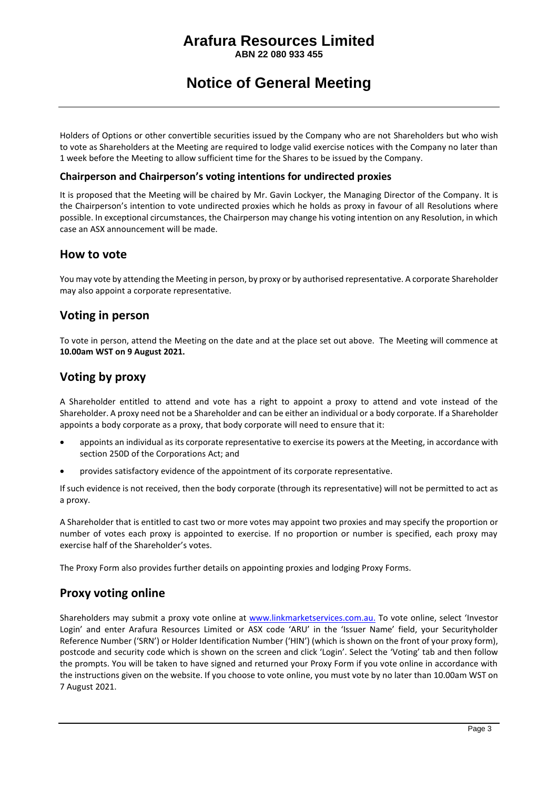**ABN 22 080 933 455**

## **Notice of General Meeting**

Holders of Options or other convertible securities issued by the Company who are not Shareholders but who wish to vote as Shareholders at the Meeting are required to lodge valid exercise notices with the Company no later than 1 week before the Meeting to allow sufficient time for the Shares to be issued by the Company.

### **Chairperson and Chairperson's voting intentions for undirected proxies**

It is proposed that the Meeting will be chaired by Mr. Gavin Lockyer, the Managing Director of the Company. It is the Chairperson's intention to vote undirected proxies which he holds as proxy in favour of all Resolutions where possible. In exceptional circumstances, the Chairperson may change his voting intention on any Resolution, in which case an ASX announcement will be made.

### **How to vote**

You may vote by attending the Meeting in person, by proxy or by authorised representative. A corporate Shareholder may also appoint a corporate representative.

### **Voting in person**

To vote in person, attend the Meeting on the date and at the place set out above. The Meeting will commence at **10.00am WST on 9 August 2021.**

### **Voting by proxy**

A Shareholder entitled to attend and vote has a right to appoint a proxy to attend and vote instead of the Shareholder. A proxy need not be a Shareholder and can be either an individual or a body corporate. If a Shareholder appoints a body corporate as a proxy, that body corporate will need to ensure that it:

- appoints an individual as its corporate representative to exercise its powers at the Meeting, in accordance with section 250D of the Corporations Act; and
- provides satisfactory evidence of the appointment of its corporate representative.

If such evidence is not received, then the body corporate (through its representative) will not be permitted to act as a proxy.

A Shareholder that is entitled to cast two or more votes may appoint two proxies and may specify the proportion or number of votes each proxy is appointed to exercise. If no proportion or number is specified, each proxy may exercise half of the Shareholder's votes.

The Proxy Form also provides further details on appointing proxies and lodging Proxy Forms.

### **Proxy voting online**

Shareholders may submit a proxy vote online at [www.linkmarketservices.com.au.](http://www.linkmarketservices.com.au/) To vote online, select 'Investor Login' and enter Arafura Resources Limited or ASX code 'ARU' in the 'Issuer Name' field, your Securityholder Reference Number ('SRN') or Holder Identification Number ('HIN') (which is shown on the front of your proxy form), postcode and security code which is shown on the screen and click 'Login'. Select the 'Voting' tab and then follow the prompts. You will be taken to have signed and returned your Proxy Form if you vote online in accordance with the instructions given on the website. If you choose to vote online, you must vote by no later than 10.00am WST on 7 August 2021.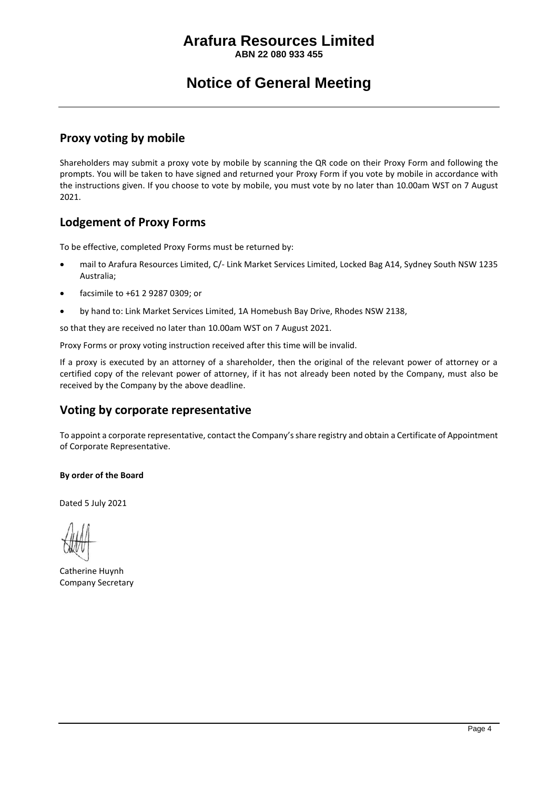**ABN 22 080 933 455**

# **Notice of General Meeting**

### **Proxy voting by mobile**

Shareholders may submit a proxy vote by mobile by scanning the QR code on their Proxy Form and following the prompts. You will be taken to have signed and returned your Proxy Form if you vote by mobile in accordance with the instructions given. If you choose to vote by mobile, you must vote by no later than 10.00am WST on 7 August 2021.

## **Lodgement of Proxy Forms**

To be effective, completed Proxy Forms must be returned by:

- mail to Arafura Resources Limited, C/- Link Market Services Limited, Locked Bag A14, Sydney South NSW 1235 Australia;
- facsimile to +61 2 9287 0309; or
- by hand to: Link Market Services Limited, 1A Homebush Bay Drive, Rhodes NSW 2138,

so that they are received no later than 10.00am WST on 7 August 2021.

Proxy Forms or proxy voting instruction received after this time will be invalid.

If a proxy is executed by an attorney of a shareholder, then the original of the relevant power of attorney or a certified copy of the relevant power of attorney, if it has not already been noted by the Company, must also be received by the Company by the above deadline.

### **Voting by corporate representative**

To appoint a corporate representative, contact the Company's share registry and obtain a Certificate of Appointment of Corporate Representative.

### **By order of the Board**

Dated 5 July 2021

Catherine Huynh Company Secretary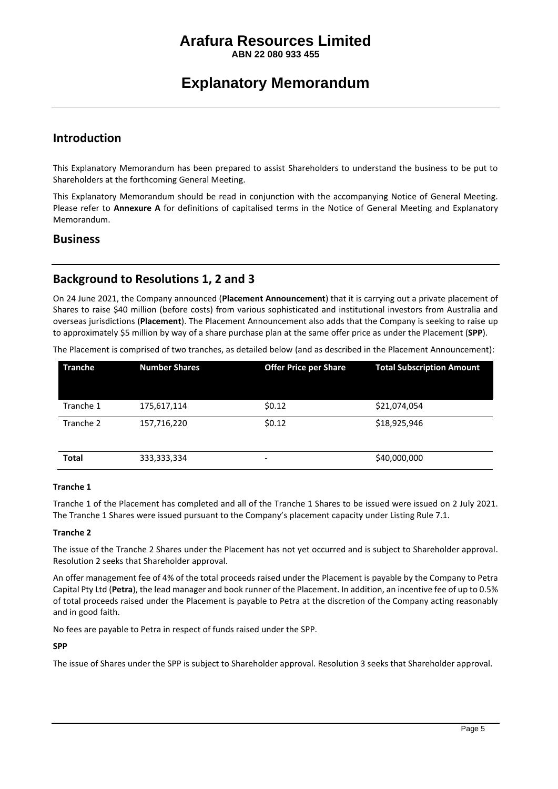**ABN 22 080 933 455**

# **Explanatory Memorandum**

### **Introduction**

This Explanatory Memorandum has been prepared to assist Shareholders to understand the business to be put to Shareholders at the forthcoming General Meeting.

This Explanatory Memorandum should be read in conjunction with the accompanying Notice of General Meeting. Please refer to **Annexure A** for definitions of capitalised terms in the Notice of General Meeting and Explanatory Memorandum.

### **Business**

## **Background to Resolutions 1, 2 and 3**

On 24 June 2021, the Company announced (**Placement Announcement**) that it is carrying out a private placement of Shares to raise \$40 million (before costs) from various sophisticated and institutional investors from Australia and overseas jurisdictions (**Placement**). The Placement Announcement also adds that the Company is seeking to raise up to approximately \$5 million by way of a share purchase plan at the same offer price as under the Placement (**SPP**).

The Placement is comprised of two tranches, as detailed below (and as described in the Placement Announcement):

| <b>Tranche</b> | <b>Number Shares</b> | <b>Offer Price per Share</b> | <b>Total Subscription Amount</b> |
|----------------|----------------------|------------------------------|----------------------------------|
| Tranche 1      | 175,617,114          | \$0.12                       | \$21,074,054                     |
| Tranche 2      | 157,716,220          | \$0.12                       | \$18,925,946                     |
| <b>Total</b>   | 333, 333, 334        | $\overline{\phantom{a}}$     | \$40,000,000                     |

#### **Tranche 1**

Tranche 1 of the Placement has completed and all of the Tranche 1 Shares to be issued were issued on 2 July 2021. The Tranche 1 Shares were issued pursuant to the Company's placement capacity under Listing Rule 7.1.

#### **Tranche 2**

The issue of the Tranche 2 Shares under the Placement has not yet occurred and is subject to Shareholder approval. Resolution 2 seeks that Shareholder approval.

An offer management fee of 4% of the total proceeds raised under the Placement is payable by the Company to Petra Capital Pty Ltd (**Petra**), the lead manager and book runner of the Placement. In addition, an incentive fee of up to 0.5% of total proceeds raised under the Placement is payable to Petra at the discretion of the Company acting reasonably and in good faith.

No fees are payable to Petra in respect of funds raised under the SPP.

**SPP**

The issue of Shares under the SPP is subject to Shareholder approval. Resolution 3 seeks that Shareholder approval.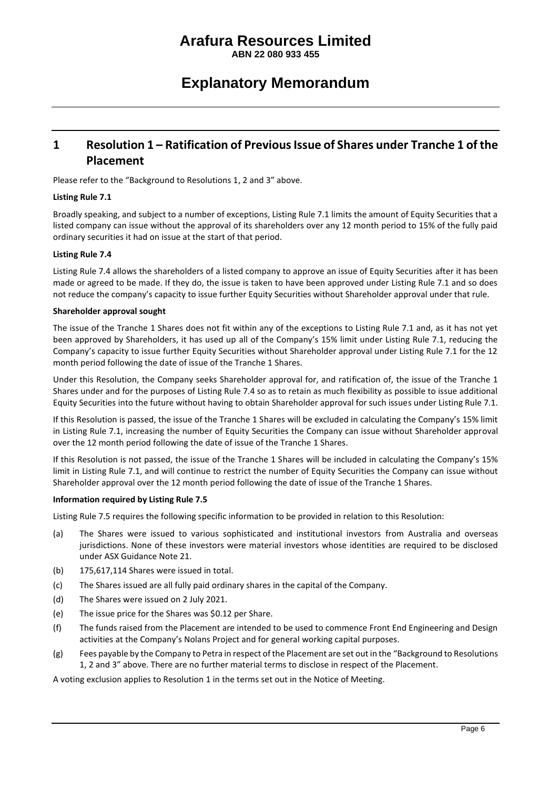**ABN 22 080 933 455**

## **Explanatory Memorandum**

## **1 Resolution 1 – Ratification of Previous Issue of Shares under Tranche 1 of the Placement**

Please refer to the "Background to Resolutions 1, 2 and 3" above.

#### **Listing Rule 7.1**

Broadly speaking, and subject to a number of exceptions, Listing Rule 7.1 limits the amount of Equity Securities that a listed company can issue without the approval of its shareholders over any 12 month period to 15% of the fully paid ordinary securities it had on issue at the start of that period.

#### **Listing Rule 7.4**

Listing Rule 7.4 allows the shareholders of a listed company to approve an issue of Equity Securities after it has been made or agreed to be made. If they do, the issue is taken to have been approved under Listing Rule 7.1 and so does not reduce the company's capacity to issue further Equity Securities without Shareholder approval under that rule.

#### **Shareholder approval sought**

The issue of the Tranche 1 Shares does not fit within any of the exceptions to Listing Rule 7.1 and, as it has not yet been approved by Shareholders, it has used up all of the Company's 15% limit under Listing Rule 7.1, reducing the Company's capacity to issue further Equity Securities without Shareholder approval under Listing Rule 7.1 for the 12 month period following the date of issue of the Tranche 1 Shares.

Under this Resolution, the Company seeks Shareholder approval for, and ratification of, the issue of the Tranche 1 Shares under and for the purposes of Listing Rule 7.4 so as to retain as much flexibility as possible to issue additional Equity Securities into the future without having to obtain Shareholder approval for such issues under Listing Rule 7.1.

If this Resolution is passed, the issue of the Tranche 1 Shares will be excluded in calculating the Company's 15% limit in Listing Rule 7.1, increasing the number of Equity Securities the Company can issue without Shareholder approval over the 12 month period following the date of issue of the Tranche 1 Shares.

If this Resolution is not passed, the issue of the Tranche 1 Shares will be included in calculating the Company's 15% limit in Listing Rule 7.1, and will continue to restrict the number of Equity Securities the Company can issue without Shareholder approval over the 12 month period following the date of issue of the Tranche 1 Shares.

#### **Information required by Listing Rule 7.5**

Listing Rule 7.5 requires the following specific information to be provided in relation to this Resolution:

- (a) The Shares were issued to various sophisticated and institutional investors from Australia and overseas jurisdictions. None of these investors were material investors whose identities are required to be disclosed under ASX Guidance Note 21.
- (b) 175,617,114 Shares were issued in total.
- (c) The Shares issued are all fully paid ordinary shares in the capital of the Company.
- (d) The Shares were issued on 2 July 2021.
- (e) The issue price for the Shares was \$0.12 per Share.
- (f) The funds raised from the Placement are intended to be used to commence Front End Engineering and Design activities at the Company's Nolans Project and for general working capital purposes.
- (g) Fees payable by the Company to Petra in respect of the Placement are set out in the "Background to Resolutions 1, 2 and 3" above. There are no further material terms to disclose in respect of the Placement.

A voting exclusion applies to Resolution 1 in the terms set out in the Notice of Meeting.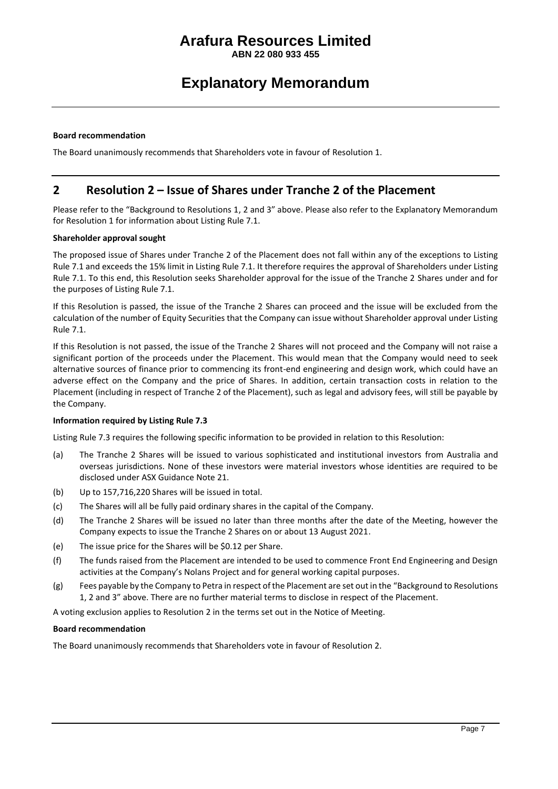**ABN 22 080 933 455**

## **Explanatory Memorandum**

#### **Board recommendation**

The Board unanimously recommends that Shareholders vote in favour of Resolution 1.

### **2 Resolution 2 – Issue of Shares under Tranche 2 of the Placement**

Please refer to the "Background to Resolutions 1, 2 and 3" above. Please also refer to the Explanatory Memorandum for Resolution 1 for information about Listing Rule 7.1.

#### **Shareholder approval sought**

The proposed issue of Shares under Tranche 2 of the Placement does not fall within any of the exceptions to Listing Rule 7.1 and exceeds the 15% limit in Listing Rule 7.1. It therefore requires the approval of Shareholders under Listing Rule 7.1. To this end, this Resolution seeks Shareholder approval for the issue of the Tranche 2 Shares under and for the purposes of Listing Rule 7.1.

If this Resolution is passed, the issue of the Tranche 2 Shares can proceed and the issue will be excluded from the calculation of the number of Equity Securities that the Company can issue without Shareholder approval under Listing Rule 7.1.

If this Resolution is not passed, the issue of the Tranche 2 Shares will not proceed and the Company will not raise a significant portion of the proceeds under the Placement. This would mean that the Company would need to seek alternative sources of finance prior to commencing its front-end engineering and design work, which could have an adverse effect on the Company and the price of Shares. In addition, certain transaction costs in relation to the Placement (including in respect of Tranche 2 of the Placement), such as legal and advisory fees, will still be payable by the Company.

#### **Information required by Listing Rule 7.3**

Listing Rule 7.3 requires the following specific information to be provided in relation to this Resolution:

- (a) The Tranche 2 Shares will be issued to various sophisticated and institutional investors from Australia and overseas jurisdictions. None of these investors were material investors whose identities are required to be disclosed under ASX Guidance Note 21.
- (b) Up to 157,716,220 Shares will be issued in total.
- (c) The Shares will all be fully paid ordinary shares in the capital of the Company.
- (d) The Tranche 2 Shares will be issued no later than three months after the date of the Meeting, however the Company expects to issue the Tranche 2 Shares on or about 13 August 2021.
- (e) The issue price for the Shares will be \$0.12 per Share.
- (f) The funds raised from the Placement are intended to be used to commence Front End Engineering and Design activities at the Company's Nolans Project and for general working capital purposes.
- (g) Fees payable by the Company to Petra in respect of the Placement are set out in the "Background to Resolutions 1, 2 and 3" above. There are no further material terms to disclose in respect of the Placement.

A voting exclusion applies to Resolution 2 in the terms set out in the Notice of Meeting.

#### **Board recommendation**

The Board unanimously recommends that Shareholders vote in favour of Resolution 2.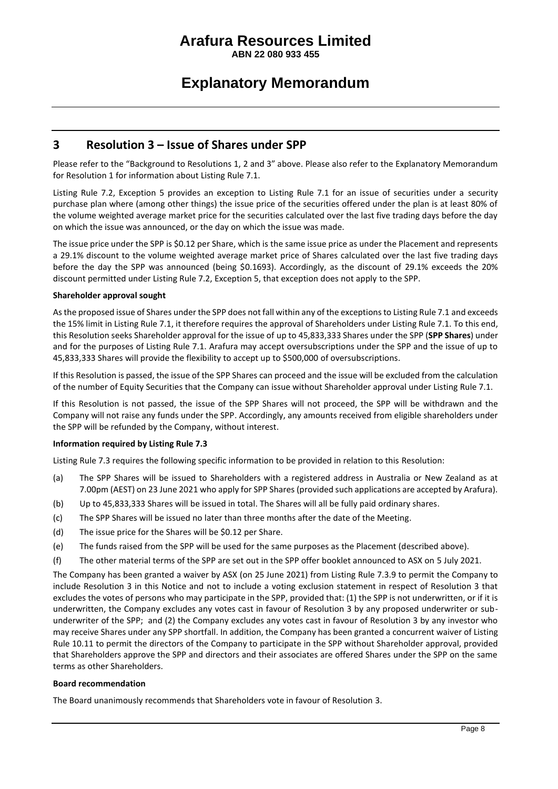**ABN 22 080 933 455**

## **Explanatory Memorandum**

### **3 Resolution 3 – Issue of Shares under SPP**

Please refer to the "Background to Resolutions 1, 2 and 3" above. Please also refer to the Explanatory Memorandum for Resolution 1 for information about Listing Rule 7.1.

Listing Rule 7.2, Exception 5 provides an exception to Listing Rule 7.1 for an issue of securities under a security purchase plan where (among other things) the issue price of the securities offered under the plan is at least 80% of the volume weighted average market price for the securities calculated over the last five trading days before the day on which the issue was announced, or the day on which the issue was made.

The issue price under the SPP is \$0.12 per Share, which is the same issue price as under the Placement and represents a 29.1% discount to the volume weighted average market price of Shares calculated over the last five trading days before the day the SPP was announced (being \$0.1693). Accordingly, as the discount of 29.1% exceeds the 20% discount permitted under Listing Rule 7.2, Exception 5, that exception does not apply to the SPP.

#### **Shareholder approval sought**

As the proposed issue of Shares under the SPP does not fall within any of the exceptions to Listing Rule 7.1 and exceeds the 15% limit in Listing Rule 7.1, it therefore requires the approval of Shareholders under Listing Rule 7.1. To this end, this Resolution seeks Shareholder approval for the issue of up to 45,833,333 Shares under the SPP (**SPP Shares**) under and for the purposes of Listing Rule 7.1. Arafura may accept oversubscriptions under the SPP and the issue of up to 45,833,333 Shares will provide the flexibility to accept up to \$500,000 of oversubscriptions.

If this Resolution is passed, the issue of the SPP Shares can proceed and the issue will be excluded from the calculation of the number of Equity Securities that the Company can issue without Shareholder approval under Listing Rule 7.1.

If this Resolution is not passed, the issue of the SPP Shares will not proceed, the SPP will be withdrawn and the Company will not raise any funds under the SPP. Accordingly, any amounts received from eligible shareholders under the SPP will be refunded by the Company, without interest.

#### **Information required by Listing Rule 7.3**

Listing Rule 7.3 requires the following specific information to be provided in relation to this Resolution:

- (a) The SPP Shares will be issued to Shareholders with a registered address in Australia or New Zealand as at 7.00pm (AEST) on 23 June 2021 who apply for SPP Shares (provided such applications are accepted by Arafura).
- (b) Up to 45,833,333 Shares will be issued in total. The Shares will all be fully paid ordinary shares.
- (c) The SPP Shares will be issued no later than three months after the date of the Meeting.
- (d) The issue price for the Shares will be \$0.12 per Share.
- (e) The funds raised from the SPP will be used for the same purposes as the Placement (described above).
- (f) The other material terms of the SPP are set out in the SPP offer booklet announced to ASX on 5 July 2021.

The Company has been granted a waiver by ASX (on 25 June 2021) from Listing Rule 7.3.9 to permit the Company to include Resolution 3 in this Notice and not to include a voting exclusion statement in respect of Resolution 3 that excludes the votes of persons who may participate in the SPP, provided that: (1) the SPP is not underwritten, or if it is underwritten, the Company excludes any votes cast in favour of Resolution 3 by any proposed underwriter or subunderwriter of the SPP; and (2) the Company excludes any votes cast in favour of Resolution 3 by any investor who may receive Shares under any SPP shortfall. In addition, the Company has been granted a concurrent waiver of Listing Rule 10.11 to permit the directors of the Company to participate in the SPP without Shareholder approval, provided that Shareholders approve the SPP and directors and their associates are offered Shares under the SPP on the same terms as other Shareholders.

#### **Board recommendation**

The Board unanimously recommends that Shareholders vote in favour of Resolution 3.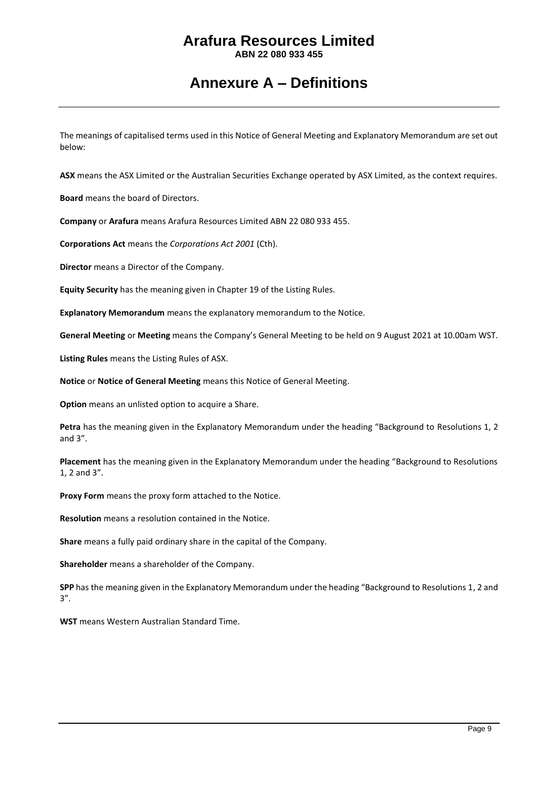**ABN 22 080 933 455**

## **Annexure A – Definitions**

The meanings of capitalised terms used in this Notice of General Meeting and Explanatory Memorandum are set out below:

**ASX** means the ASX Limited or the Australian Securities Exchange operated by ASX Limited, as the context requires.

**Board** means the board of Directors.

**Company** or **Arafura** means Arafura Resources Limited ABN 22 080 933 455.

**Corporations Act** means the *Corporations Act 2001* (Cth).

**Director** means a Director of the Company.

**Equity Security** has the meaning given in Chapter 19 of the Listing Rules.

**Explanatory Memorandum** means the explanatory memorandum to the Notice.

**General Meeting** or **Meeting** means the Company's General Meeting to be held on 9 August 2021 at 10.00am WST.

**Listing Rules** means the Listing Rules of ASX.

**Notice** or **Notice of General Meeting** means this Notice of General Meeting.

**Option** means an unlisted option to acquire a Share.

**Petra** has the meaning given in the Explanatory Memorandum under the heading "Background to Resolutions 1, 2 and 3".

**Placement** has the meaning given in the Explanatory Memorandum under the heading "Background to Resolutions 1, 2 and 3".

**Proxy Form** means the proxy form attached to the Notice.

**Resolution** means a resolution contained in the Notice.

**Share** means a fully paid ordinary share in the capital of the Company.

**Shareholder** means a shareholder of the Company.

**SPP** has the meaning given in the Explanatory Memorandum under the heading "Background to Resolutions 1, 2 and 3".

**WST** means Western Australian Standard Time.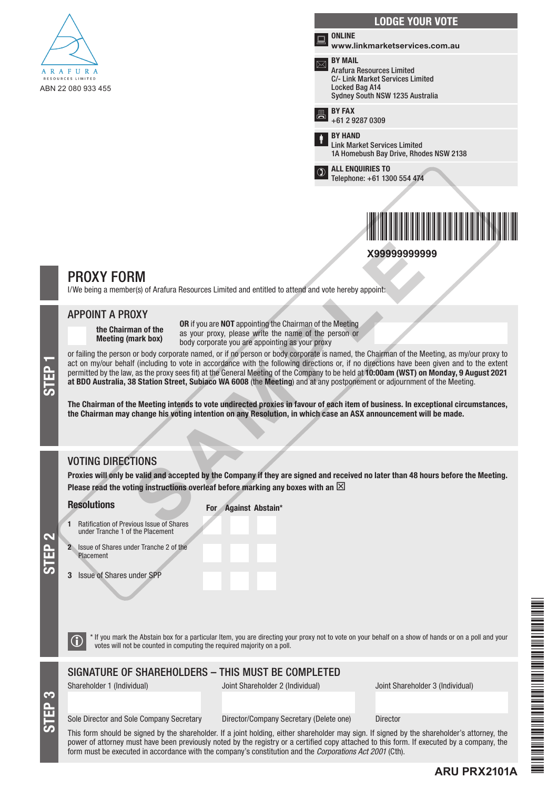

|   | <b>LODGE YOUR VOTE</b>                                                                                                                                    |
|---|-----------------------------------------------------------------------------------------------------------------------------------------------------------|
|   | <b>ONLINE</b><br>www.linkmarketservices.com.au                                                                                                            |
|   | <b>BY MAIL</b><br><b>Arafura Resources Limited</b><br><b>C/- Link Market Services Limited</b><br><b>Locked Bag A14</b><br>Sydney South NSW 1235 Australia |
| 昌 | <b>BY FAX</b><br>+61 2 9287 0309                                                                                                                          |
|   | <b>BY HAND</b><br><b>Link Market Services Limited</b><br>1A Homebush Bay Drive, Rhodes NSW 2138                                                           |
|   | <b>ALL ENQUIRIES TO</b><br>Telephone: +61 1300 554 474                                                                                                    |
|   |                                                                                                                                                           |

**X99999999999**

\*X99999999999\*



I/We being a member(s) of Arafura Resources Limited and entitled to attend and vote hereby appoint:

#### APPOINT A PROXY

the Chairman of the Meeting (mark box)

OR if you are NOT appointing the Chairman of the Meeting as your proxy, please write the name of the person or body corporate you are appointing as your proxy

or failing the person or body corporate named, or if no person or body corporate is named, the Chairman of the Meeting, as my/our proxy to act on my/our behalf (including to vote in accordance with the following directions act on my/our behalf (including to vote in accordance with the following directions or, if no directions have been given and to the extent permitted by the law, as the proxy sees fit) at the General Meeting of the Company to be held at 10:00am (WST) on Monday, 9 August 2021 at BDO Australia, 38 Station Street, Subiaco WA 6008 (the Meeting) and at any postponement or adjournment of the Meeting. **EXAMPLE 10**<br> **EXAMPLE 10**<br> **EXAMPLE 10**<br> **EXAMPLE 10**<br> **EXAMPLE 10**<br> **EXAMPLE 10**<br> **EXAMPLE 10**<br> **EXAMPLE 10**<br> **EXAMPLE 10**<br> **EXAMPLE 10**<br> **EXAMPLE 10**<br> **EXAMPLE 10**<br> **EXAMPLE 10**<br> **EXAMPLE 10**<br> **EXAMPLE 10**<br> **EXAMPLE 10** 

The Chairman of the Meeting intends to vote undirected proxies in favour of each item of business. In exceptional circumstances, the Chairman may change his voting intention on any Resolution, in which case an ASX announcement will be made.

## VOTING DIRECTIONS

Proxies will only be valid and accepted by the Company if they are signed and received no later than 48 hours before the Meeting. Please read the voting instructions overleaf before marking any boxes with an  $\boxtimes$ 

#### **Resolutions**

For Against Abstain\*

- 1 Ratification of Previous Issue of Shares under Tranche 1 of the Placement
- 2 Issue of Shares under Tranche 2 of the Placement
- 3 Issue of Shares under SPP
- 

STEP 3

STEP 2

 $\bigcirc$  \* If you mark the Abstain box for a particular Item, you are directing your proxy not to vote on your behalf on a show of hands or on a poll and your votes will not be counted in computing the required majority on a

### SIGNATURE OF SHAREHOLDERS – THIS MUST BE COMPLETED

Shareholder 1 (Individual) Joint Shareholder 2 (Individual) Joint Shareholder 3 (Individual)

**ARU PRX2101A**

#### Sole Director and Sole Company Secretary Director/Company Secretary (Delete one) Director

This form should be signed by the shareholder. If a joint holding, either shareholder may sign. If signed by the shareholder's attorney, the power of attorney must have been previously noted by the registry or a certified copy attached to this form. If executed by a company, the form must be executed in accordance with the company's constitution and the *Corporations Act 2001* (Cth).